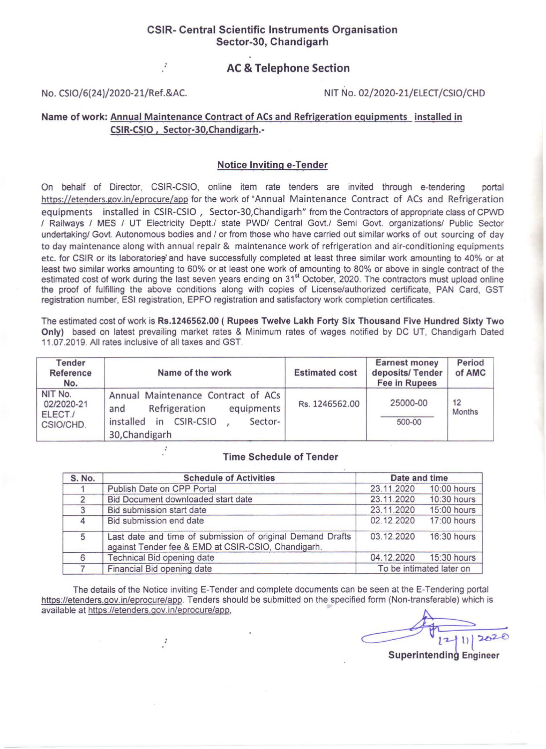## CSIR- Central Scientific Instruments Organisation Sector-30, Chandigarh

## AC & Telephone Section

 $\ddot{i}$ 

#### No. CSI0/6(24)/2020-21/Ref.&AC. NIT No. 02/2020-21/ELECT/CSIO/CHD

# Name of work: Annual Maintenance Contract of ACs and Refrigeration equipments installed in CSIR-CSIO, Sector-30,Chandigarh.-

### Notice Inviting e-Tender

On behalf of Director, CSIR-CSIO, online item rate tenders are invited through e-tendering portal https://etenders.gov.in/eprocure/app for the work of "Annual Maintenance Contract of ACs and Refrigeration equipments installed in CSIR-CSIO, Sector-30, Chandigarh" from the Contractors of appropriate class of CPWD I Railways I MES I UT Electricity Deptt./ state PWD/ Central Govt./ Semi Govt. organizations/ Public Sector undertaking/ Govt. Autonomous bodies and / or from those who have carried out similar works of out sourcing of day to day maintenance along with annual repair & maintenance work of refrigeration and air-conditioning equipments etc. for CSIR or its laboratories' and have successfully completed at least three similar work amounting to 40% or at least two similar works amounting to 60% or at least one work of amounting to 80% or above in single contract of the estimated cost of work during the last seven years ending on 31<sup>st</sup> October, 2020. The contractors must upload online the proof of fulfilling the above conditions along with copies of License/authorized certificate, PAN Card, GST registration number, ESI registration, EPFO registration and satisfactory work completion certificates.

The estimated cost of work is Rs.1246562.00 ( Rupees Twelve Lakh Forty Six Thousand Five Hundred Sixty Two Only) based on latest prevailing market rates & Minimum rates of wages notified by DC UT, Chandigarh Dated 11 .07.2019. All rates inclusive of all taxes and GST.

| <b>Tender</b><br><b>Reference</b><br>No.      | Name of the work                                                                                                                             | <b>Estimated cost</b> | <b>Earnest money</b><br>deposits/Tender<br><b>Fee in Rupees</b> | Period<br>of AMC    |
|-----------------------------------------------|----------------------------------------------------------------------------------------------------------------------------------------------|-----------------------|-----------------------------------------------------------------|---------------------|
| NIT No.<br>02/2020-21<br>ELECT./<br>CSIO/CHD. | Annual Maintenance Contract of ACs<br>equipments<br>Refrigeration<br>and<br><b>CSIR-CSIO</b><br>installed<br>in<br>Sector-<br>30, Chandigarh | Rs. 1246562.00        | 25000-00<br>500-00                                              | 12<br><b>Months</b> |

#### Time Schedule of Tender

| <b>S. No.</b> | <b>Schedule of Activities</b>                                                                                    | Date and time            |             |
|---------------|------------------------------------------------------------------------------------------------------------------|--------------------------|-------------|
|               | Publish Date on CPP Portal                                                                                       | 23.11.2020               | 10:00 hours |
| $\mathcal{P}$ | Bid Document downloaded start date                                                                               | 23.11.2020               | 10:30 hours |
|               | Bid submission start date                                                                                        | 23.11.2020               | 15:00 hours |
| $\Delta$      | Bid submission end date                                                                                          | 02.12.2020               | 17:00 hours |
| 5             | Last date and time of submission of original Demand Drafts<br>against Tender fee & EMD at CSIR-CSIO, Chandigarh. | 03.12.2020               | 16:30 hours |
|               | Technical Bid opening date                                                                                       | 04.12.2020               | 15:30 hours |
|               | Financial Bid opening date                                                                                       | To be intimated later on |             |

The details of the Notice inviting E-Tender and complete documents can be seen at the E-Tendering portal https://etenders.qov.in/eprocure/app. Tenders should be submitted on the specified form (Non-transferable) which is available at https://etenders.gov.in/eprocure/app,

 $\cdot$ 

 $[2|1|]$  2020

Superintending Engineer